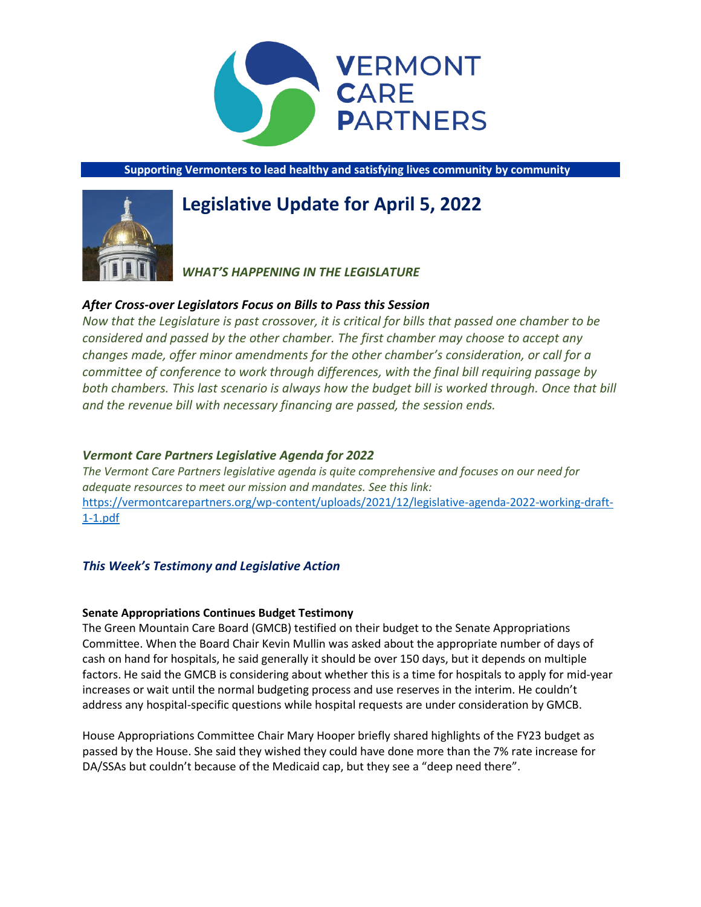

**Supporting Vermonters to lead healthy and satisfying lives community by community**

# **Legislative Update for April 5, 2022**



# *WHAT'S HAPPENING IN THE LEGISLATURE*

# *After Cross-over Legislators Focus on Bills to Pass this Session*

*Now that the Legislature is past crossover, it is critical for bills that passed one chamber to be considered and passed by the other chamber. The first chamber may choose to accept any changes made, offer minor amendments for the other chamber's consideration, or call for a committee of conference to work through differences, with the final bill requiring passage by both chambers. This last scenario is always how the budget bill is worked through. Once that bill and the revenue bill with necessary financing are passed, the session ends.* 

# *Vermont Care Partners Legislative Agenda for 2022*

*The Vermont Care Partners legislative agenda is quite comprehensive and focuses on our need for adequate resources to meet our mission and mandates. See this link:*  [https://vermontcarepartners.org/wp-content/uploads/2021/12/legislative-agenda-2022-working-draft-](https://vermontcarepartners.org/wp-content/uploads/2021/12/legislative-agenda-2022-working-draft-1-1.pdf)[1-1.pdf](https://vermontcarepartners.org/wp-content/uploads/2021/12/legislative-agenda-2022-working-draft-1-1.pdf)

# *This Week's Testimony and Legislative Action*

# **Senate Appropriations Continues Budget Testimony**

The Green Mountain Care Board (GMCB) testified on their budget to the Senate Appropriations Committee. When the Board Chair Kevin Mullin was asked about the appropriate number of days of cash on hand for hospitals, he said generally it should be over 150 days, but it depends on multiple factors. He said the GMCB is considering about whether this is a time for hospitals to apply for mid-year increases or wait until the normal budgeting process and use reserves in the interim. He couldn't address any hospital-specific questions while hospital requests are under consideration by GMCB.

House Appropriations Committee Chair Mary Hooper briefly shared highlights of the FY23 budget as passed by the House. She said they wished they could have done more than the 7% rate increase for DA/SSAs but couldn't because of the Medicaid cap, but they see a "deep need there".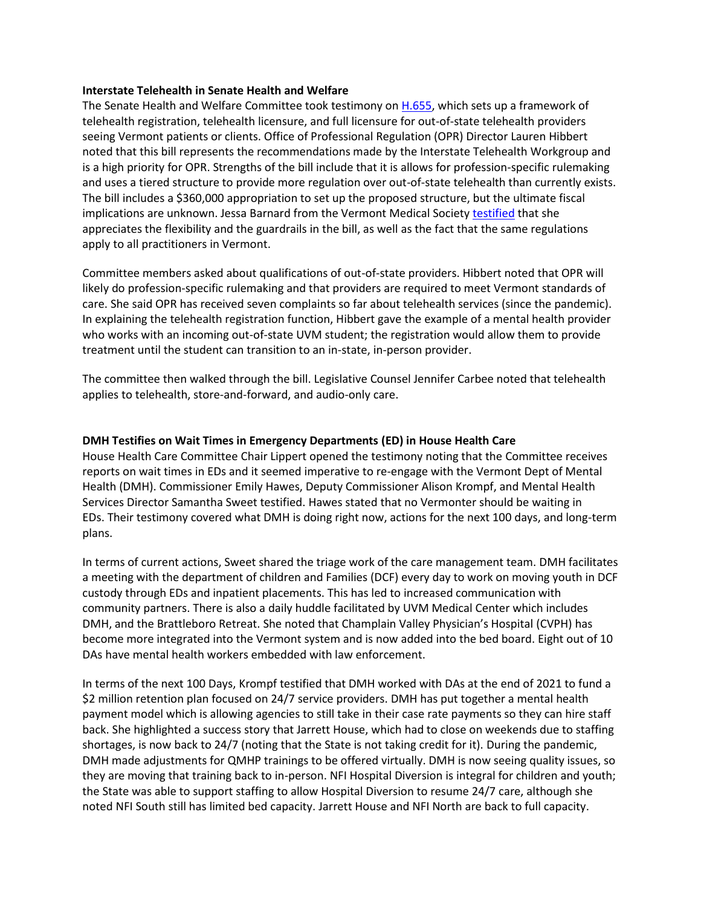## **Interstate Telehealth in Senate Health and Welfare**

The Senate Health and Welfare Committee took testimony on **H.655**, which sets up a framework of telehealth registration, telehealth licensure, and full licensure for out-of-state telehealth providers seeing Vermont patients or clients. Office of Professional Regulation (OPR) Director Lauren Hibbert noted that this bill represents the recommendations made by the Interstate Telehealth Workgroup and is a high priority for OPR. Strengths of the bill include that it is allows for profession-specific rulemaking and uses a tiered structure to provide more regulation over out-of-state telehealth than currently exists. The bill includes a \$360,000 appropriation to set up the proposed structure, but the ultimate fiscal implications are unknown. Jessa Barnard from the Vermont Medical Society [testified](https://legislature.vermont.gov/Documents/2022/WorkGroups/Senate%20Health%20and%20Welfare/Bills/H.655/Witness%20Documents/H.655~Jessa%20Barnard~Vermont%20Medical%20Society%20Written%20Testimony~3-30-2022.pdf) that she appreciates the flexibility and the guardrails in the bill, as well as the fact that the same regulations apply to all practitioners in Vermont.

Committee members asked about qualifications of out-of-state providers. Hibbert noted that OPR will likely do profession-specific rulemaking and that providers are required to meet Vermont standards of care. She said OPR has received seven complaints so far about telehealth services (since the pandemic). In explaining the telehealth registration function, Hibbert gave the example of a mental health provider who works with an incoming out-of-state UVM student; the registration would allow them to provide treatment until the student can transition to an in-state, in-person provider.

The committee then walked through the bill. Legislative Counsel Jennifer Carbee noted that telehealth applies to telehealth, store-and-forward, and audio-only care.

# **DMH Testifies on Wait Times in Emergency Departments (ED) in House Health Care**

House Health Care Committee Chair Lippert opened the testimony noting that the Committee receives reports on wait times in EDs and it seemed imperative to re-engage with the Vermont Dept of Mental Health (DMH). Commissioner Emily Hawes, Deputy Commissioner Alison Krompf, and Mental Health Services Director Samantha Sweet testified. Hawes stated that no Vermonter should be waiting in EDs. Their testimony covered what DMH is doing right now, actions for the next 100 days, and long-term plans.

In terms of current actions, Sweet shared the triage work of the care management team. DMH facilitates a meeting with the department of children and Families (DCF) every day to work on moving youth in DCF custody through EDs and inpatient placements. This has led to increased communication with community partners. There is also a daily huddle facilitated by UVM Medical Center which includes DMH, and the Brattleboro Retreat. She noted that Champlain Valley Physician's Hospital (CVPH) has become more integrated into the Vermont system and is now added into the bed board. Eight out of 10 DAs have mental health workers embedded with law enforcement.

In terms of the next 100 Days, Krompf testified that DMH worked with DAs at the end of 2021 to fund a \$2 million retention plan focused on 24/7 service providers. DMH has put together a mental health payment model which is allowing agencies to still take in their case rate payments so they can hire staff back. She highlighted a success story that Jarrett House, which had to close on weekends due to staffing shortages, is now back to 24/7 (noting that the State is not taking credit for it). During the pandemic, DMH made adjustments for QMHP trainings to be offered virtually. DMH is now seeing quality issues, so they are moving that training back to in-person. NFI Hospital Diversion is integral for children and youth; the State was able to support staffing to allow Hospital Diversion to resume 24/7 care, although she noted NFI South still has limited bed capacity. Jarrett House and NFI North are back to full capacity.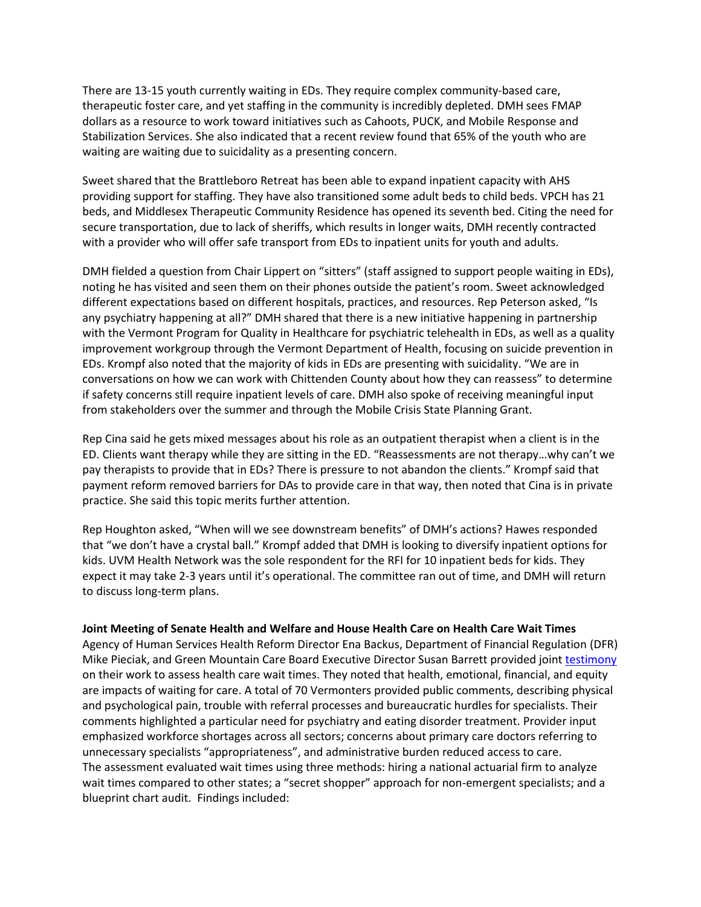There are 13-15 youth currently waiting in EDs. They require complex community-based care, therapeutic foster care, and yet staffing in the community is incredibly depleted. DMH sees FMAP dollars as a resource to work toward initiatives such as Cahoots, PUCK, and Mobile Response and Stabilization Services. She also indicated that a recent review found that 65% of the youth who are waiting are waiting due to suicidality as a presenting concern.

Sweet shared that the Brattleboro Retreat has been able to expand inpatient capacity with AHS providing support for staffing. They have also transitioned some adult beds to child beds. VPCH has 21 beds, and Middlesex Therapeutic Community Residence has opened its seventh bed. Citing the need for secure transportation, due to lack of sheriffs, which results in longer waits, DMH recently contracted with a provider who will offer safe transport from EDs to inpatient units for youth and adults.

DMH fielded a question from Chair Lippert on "sitters" (staff assigned to support people waiting in EDs), noting he has visited and seen them on their phones outside the patient's room. Sweet acknowledged different expectations based on different hospitals, practices, and resources. Rep Peterson asked, "Is any psychiatry happening at all?" DMH shared that there is a new initiative happening in partnership with the Vermont Program for Quality in Healthcare for psychiatric telehealth in EDs, as well as a quality improvement workgroup through the Vermont Department of Health, focusing on suicide prevention in EDs. Krompf also noted that the majority of kids in EDs are presenting with suicidality. "We are in conversations on how we can work with Chittenden County about how they can reassess" to determine if safety concerns still require inpatient levels of care. DMH also spoke of receiving meaningful input from stakeholders over the summer and through the Mobile Crisis State Planning Grant.

Rep Cina said he gets mixed messages about his role as an outpatient therapist when a client is in the ED. Clients want therapy while they are sitting in the ED. "Reassessments are not therapy…why can't we pay therapists to provide that in EDs? There is pressure to not abandon the clients." Krompf said that payment reform removed barriers for DAs to provide care in that way, then noted that Cina is in private practice. She said this topic merits further attention.

Rep Houghton asked, "When will we see downstream benefits" of DMH's actions? Hawes responded that "we don't have a crystal ball." Krompf added that DMH is looking to diversify inpatient options for kids. UVM Health Network was the sole respondent for the RFI for 10 inpatient beds for kids. They expect it may take 2-3 years until it's operational. The committee ran out of time, and DMH will return to discuss long-term plans.

#### **Joint Meeting of Senate Health and Welfare and House Health Care on Health Care Wait Times**

Agency of Human Services Health Reform Director Ena Backus, Department of Financial Regulation (DFR) Mike Pieciak, and Green Mountain Care Board Executive Director Susan Barrett provided join[t testimony](https://dfr.vermont.gov/sites/finreg/files/doc_library/vermont-wait-times-report-021822.pdf) on their work to assess health care wait times. They noted that health, emotional, financial, and equity are impacts of waiting for care. A total of 70 Vermonters provided public comments, describing physical and psychological pain, trouble with referral processes and bureaucratic hurdles for specialists. Their comments highlighted a particular need for psychiatry and eating disorder treatment. Provider input emphasized workforce shortages across all sectors; concerns about primary care doctors referring to unnecessary specialists "appropriateness", and administrative burden reduced access to care. The assessment evaluated wait times using three methods: hiring a national actuarial firm to analyze wait times compared to other states; a "secret shopper" approach for non-emergent specialists; and a blueprint chart audit. Findings included: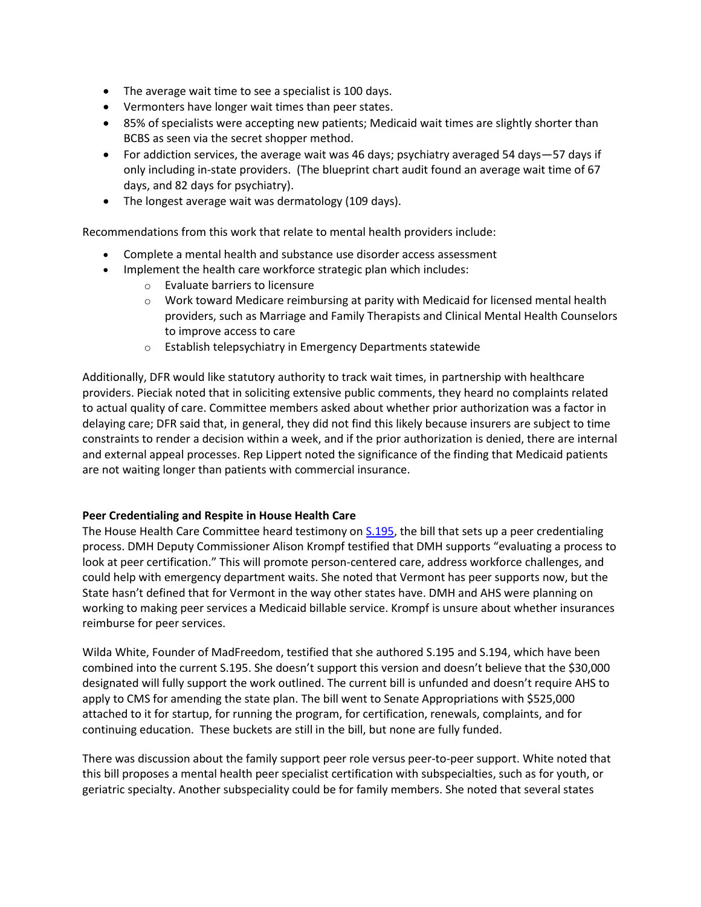- The average wait time to see a specialist is 100 days.
- Vermonters have longer wait times than peer states.
- 85% of specialists were accepting new patients; Medicaid wait times are slightly shorter than BCBS as seen via the secret shopper method.
- For addiction services, the average wait was 46 days; psychiatry averaged 54 days—57 days if only including in-state providers. (The blueprint chart audit found an average wait time of 67 days, and 82 days for psychiatry).
- The longest average wait was dermatology (109 days).

Recommendations from this work that relate to mental health providers include:

- Complete a mental health and substance use disorder access assessment
- Implement the health care workforce strategic plan which includes:
	- o Evaluate barriers to licensure
	- $\circ$  Work toward Medicare reimbursing at parity with Medicaid for licensed mental health providers, such as Marriage and Family Therapists and Clinical Mental Health Counselors to improve access to care
	- o Establish telepsychiatry in Emergency Departments statewide

Additionally, DFR would like statutory authority to track wait times, in partnership with healthcare providers. Pieciak noted that in soliciting extensive public comments, they heard no complaints related to actual quality of care. Committee members asked about whether prior authorization was a factor in delaying care; DFR said that, in general, they did not find this likely because insurers are subject to time constraints to render a decision within a week, and if the prior authorization is denied, there are internal and external appeal processes. Rep Lippert noted the significance of the finding that Medicaid patients are not waiting longer than patients with commercial insurance.

# **Peer Credentialing and Respite in House Health Care**

The House Health Care Committee heard testimony o[n S.195,](https://legislature.vermont.gov/Documents/2022/WorkGroups/House%20Health%20Care/Bills/S.195/Drafts,%20Amendments,%20and%20Legal%20Documents/S.195~Katie%20McLinn~As%20Recommended%20by%20the%20Senate%20Committee%20on%20Appropriations~3-31-2022.pdf) the bill that sets up a peer credentialing process. DMH Deputy Commissioner Alison Krompf testified that DMH supports "evaluating a process to look at peer certification." This will promote person-centered care, address workforce challenges, and could help with emergency department waits. She noted that Vermont has peer supports now, but the State hasn't defined that for Vermont in the way other states have. DMH and AHS were planning on working to making peer services a Medicaid billable service. Krompf is unsure about whether insurances reimburse for peer services.

Wilda White, Founder of MadFreedom, testified that she authored S.195 and S.194, which have been combined into the current S.195. She doesn't support this version and doesn't believe that the \$30,000 designated will fully support the work outlined. The current bill is unfunded and doesn't require AHS to apply to CMS for amending the state plan. The bill went to Senate Appropriations with \$525,000 attached to it for startup, for running the program, for certification, renewals, complaints, and for continuing education. These buckets are still in the bill, but none are fully funded.

There was discussion about the family support peer role versus peer-to-peer support. White noted that this bill proposes a mental health peer specialist certification with subspecialties, such as for youth, or geriatric specialty. Another subspeciality could be for family members. She noted that several states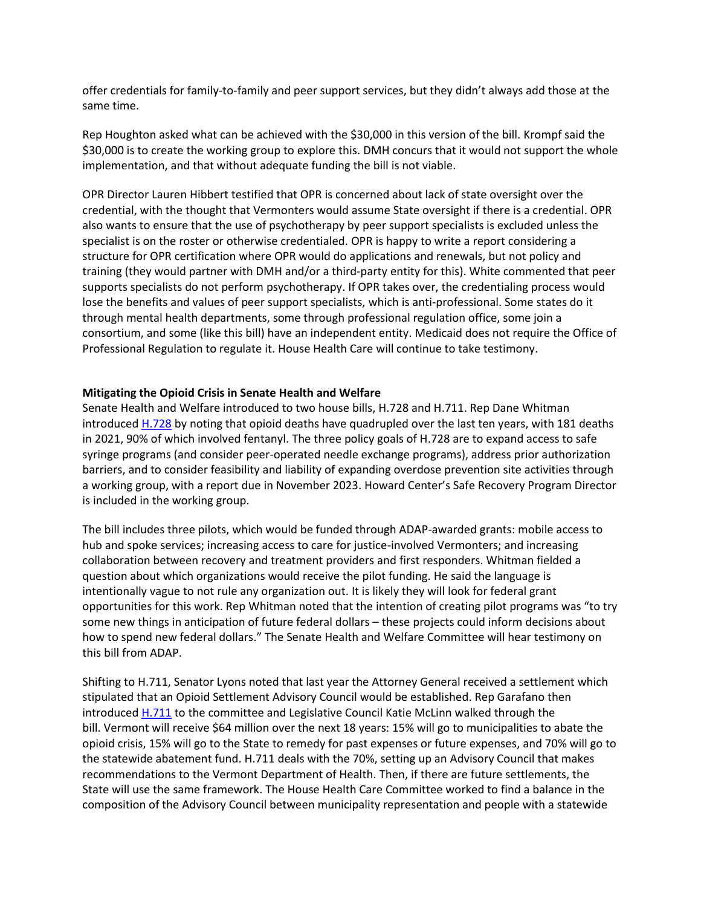offer credentials for family-to-family and peer support services, but they didn't always add those at the same time.

Rep Houghton asked what can be achieved with the \$30,000 in this version of the bill. Krompf said the \$30,000 is to create the working group to explore this. DMH concurs that it would not support the whole implementation, and that without adequate funding the bill is not viable.

OPR Director Lauren Hibbert testified that OPR is concerned about lack of state oversight over the credential, with the thought that Vermonters would assume State oversight if there is a credential. OPR also wants to ensure that the use of psychotherapy by peer support specialists is excluded unless the specialist is on the roster or otherwise credentialed. OPR is happy to write a report considering a structure for OPR certification where OPR would do applications and renewals, but not policy and training (they would partner with DMH and/or a third-party entity for this). White commented that peer supports specialists do not perform psychotherapy. If OPR takes over, the credentialing process would lose the benefits and values of peer support specialists, which is anti-professional. Some states do it through mental health departments, some through professional regulation office, some join a consortium, and some (like this bill) have an independent entity. Medicaid does not require the Office of Professional Regulation to regulate it. House Health Care will continue to take testimony.

## **Mitigating the Opioid Crisis in Senate Health and Welfare**

Senate Health and Welfare introduced to two house bills, H.728 and H.711. Rep Dane Whitman introduce[d H.728](https://legislature.vermont.gov/Documents/2022/Docs/BILLS/H-0728/H-0728%20As%20Passed%20by%20the%20House%20Unofficial.pdf) by noting that opioid deaths have quadrupled over the last ten years, with 181 deaths in 2021, 90% of which involved fentanyl. The three policy goals of H.728 are to expand access to safe syringe programs (and consider peer-operated needle exchange programs), address prior authorization barriers, and to consider feasibility and liability of expanding overdose prevention site activities through a working group, with a report due in November 2023. Howard Center's Safe Recovery Program Director is included in the working group.

The bill includes three pilots, which would be funded through ADAP-awarded grants: mobile access to hub and spoke services; increasing access to care for justice-involved Vermonters; and increasing collaboration between recovery and treatment providers and first responders. Whitman fielded a question about which organizations would receive the pilot funding. He said the language is intentionally vague to not rule any organization out. It is likely they will look for federal grant opportunities for this work. Rep Whitman noted that the intention of creating pilot programs was "to try some new things in anticipation of future federal dollars – these projects could inform decisions about how to spend new federal dollars." The Senate Health and Welfare Committee will hear testimony on this bill from ADAP.

Shifting to H.711, Senator Lyons noted that last year the Attorney General received a settlement which stipulated that an Opioid Settlement Advisory Council would be established. Rep Garafano then introduce[d H.711](https://legislature.vermont.gov/Documents/2022/Docs/BILLS/H-0711/H-0711%20As%20Passed%20by%20the%20House%20Unofficial.pdf) to the committee and Legislative Council Katie McLinn walked through the bill. Vermont will receive \$64 million over the next 18 years: 15% will go to municipalities to abate the opioid crisis, 15% will go to the State to remedy for past expenses or future expenses, and 70% will go to the statewide abatement fund. H.711 deals with the 70%, setting up an Advisory Council that makes recommendations to the Vermont Department of Health. Then, if there are future settlements, the State will use the same framework. The House Health Care Committee worked to find a balance in the composition of the Advisory Council between municipality representation and people with a statewide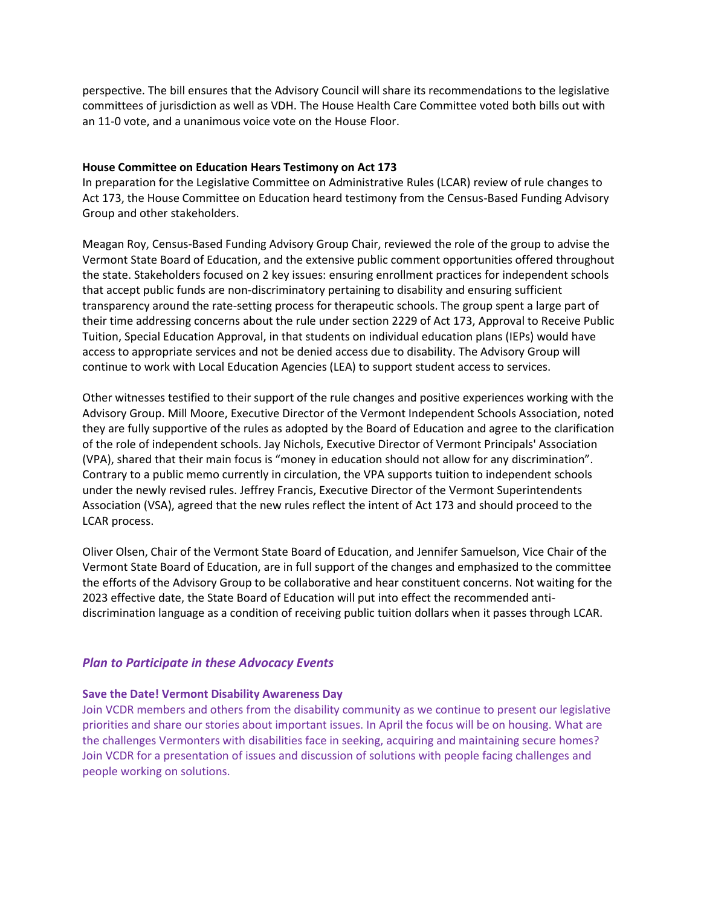perspective. The bill ensures that the Advisory Council will share its recommendations to the legislative committees of jurisdiction as well as VDH. The House Health Care Committee voted both bills out with an 11-0 vote, and a unanimous voice vote on the House Floor.

## **House Committee on Education Hears Testimony on Act 173**

In preparation for the Legislative Committee on Administrative Rules (LCAR) review of rule changes to Act 173, the House Committee on Education heard testimony from the Census-Based Funding Advisory Group and other stakeholders.

Meagan Roy, Census-Based Funding Advisory Group Chair, reviewed the role of the group to advise the Vermont State Board of Education, and the extensive public comment opportunities offered throughout the state. Stakeholders focused on 2 key issues: ensuring enrollment practices for independent schools that accept public funds are non-discriminatory pertaining to disability and ensuring sufficient transparency around the rate-setting process for therapeutic schools. The group spent a large part of their time addressing concerns about the rule under section 2229 of Act 173, Approval to Receive Public Tuition, Special Education Approval, in that students on individual education plans (IEPs) would have access to appropriate services and not be denied access due to disability. The Advisory Group will continue to work with Local Education Agencies (LEA) to support student access to services.

Other witnesses testified to their support of the rule changes and positive experiences working with the Advisory Group. Mill Moore, Executive Director of the Vermont Independent Schools Association, noted they are fully supportive of the rules as adopted by the Board of Education and agree to the clarification of the role of independent schools. Jay Nichols, Executive Director of Vermont Principals' Association (VPA), shared that their main focus is "money in education should not allow for any discrimination". Contrary to a public memo currently in circulation, the VPA supports tuition to independent schools under the newly revised rules. Jeffrey Francis, Executive Director of the Vermont Superintendents Association (VSA), agreed that the new rules reflect the intent of Act 173 and should proceed to the LCAR process.

Oliver Olsen, Chair of the Vermont State Board of Education, and Jennifer Samuelson, Vice Chair of the Vermont State Board of Education, are in full support of the changes and emphasized to the committee the efforts of the Advisory Group to be collaborative and hear constituent concerns. Not waiting for the 2023 effective date, the State Board of Education will put into effect the recommended antidiscrimination language as a condition of receiving public tuition dollars when it passes through LCAR.

# *Plan to Participate in these Advocacy Events*

#### **Save the Date! Vermont Disability Awareness Day**

Join VCDR members and others from the disability community as we continue to present our legislative priorities and share our stories about important issues. In April the focus will be on housing. What are the challenges Vermonters with disabilities face in seeking, acquiring and maintaining secure homes? Join VCDR for a presentation of issues and discussion of solutions with people facing challenges and people working on solutions.